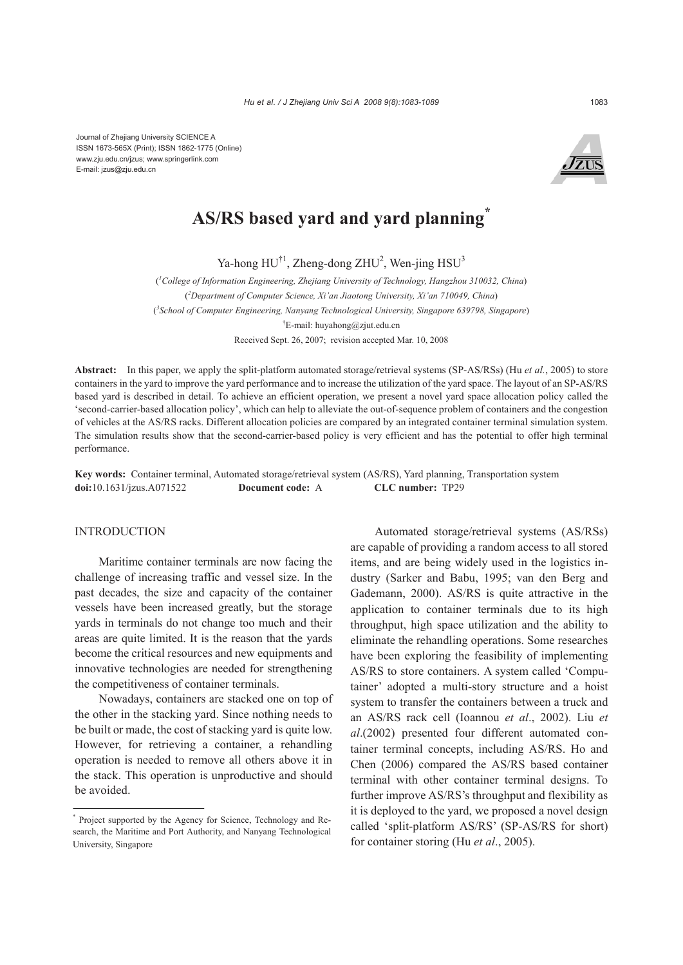Journal of Zhejiang University SCIENCE A ISSN 1673-565X (Print); ISSN 1862-1775 (Online) www.zju.edu.cn/jzus; www.springerlink.com E-mail: jzus@zju.edu.cn



# **AS/RS based yard and yard planning\***

Ya-hong  $HU^{\dagger 1}$ , Zheng-dong ZHU<sup>2</sup>, Wen-jing HSU<sup>3</sup>

( *1 College of Information Engineering, Zhejiang University of Technology, Hangzhou 310032, China*) ( *2 Department of Computer Science, Xi'an Jiaotong University, Xi'an 710049, China*) ( *3 School of Computer Engineering, Nanyang Technological University, Singapore 639798, Singapore*) † E-mail: huyahong@zjut.edu.cn Received Sept. 26, 2007; revision accepted Mar. 10, 2008

**Abstract:** In this paper, we apply the split-platform automated storage/retrieval systems (SP-AS/RSs) (Hu *et al.*, 2005) to store containers in the yard to improve the yard performance and to increase the utilization of the yard space. The layout of an SP-AS/RS based yard is described in detail. To achieve an efficient operation, we present a novel yard space allocation policy called the 'second-carrier-based allocation policy', which can help to alleviate the out-of-sequence problem of containers and the congestion of vehicles at the AS/RS racks. Different allocation policies are compared by an integrated container terminal simulation system. The simulation results show that the second-carrier-based policy is very efficient and has the potential to offer high terminal performance.

**Key words:** Container terminal, Automated storage/retrieval system (AS/RS), Yard planning, Transportation system **doi:**10.1631/jzus.A071522 **Document code:** A **CLC number:** TP29

#### **INTRODUCTION**

Maritime container terminals are now facing the challenge of increasing traffic and vessel size. In the past decades, the size and capacity of the container vessels have been increased greatly, but the storage yards in terminals do not change too much and their areas are quite limited. It is the reason that the yards become the critical resources and new equipments and innovative technologies are needed for strengthening the competitiveness of container terminals.

Nowadays, containers are stacked one on top of the other in the stacking yard. Since nothing needs to be built or made, the cost of stacking yard is quite low. However, for retrieving a container, a rehandling operation is needed to remove all others above it in the stack. This operation is unproductive and should be avoided.

Automated storage/retrieval systems (AS/RSs) are capable of providing a random access to all stored items, and are being widely used in the logistics industry (Sarker and Babu, 1995; van den Berg and Gademann, 2000). AS/RS is quite attractive in the application to container terminals due to its high throughput, high space utilization and the ability to eliminate the rehandling operations. Some researches have been exploring the feasibility of implementing AS/RS to store containers. A system called 'Computainer' adopted a multi-story structure and a hoist system to transfer the containers between a truck and an AS/RS rack cell (Ioannou *et al*., 2002). Liu *et al*.(2002) presented four different automated container terminal concepts, including AS/RS. Ho and Chen (2006) compared the AS/RS based container terminal with other container terminal designs. To further improve AS/RS's throughput and flexibility as it is deployed to the yard, we proposed a novel design called 'split-platform AS/RS' (SP-AS/RS for short) for container storing (Hu *et al*., 2005).

<sup>\*</sup> Project supported by the Agency for Science, Technology and Research, the Maritime and Port Authority, and Nanyang Technological University, Singapore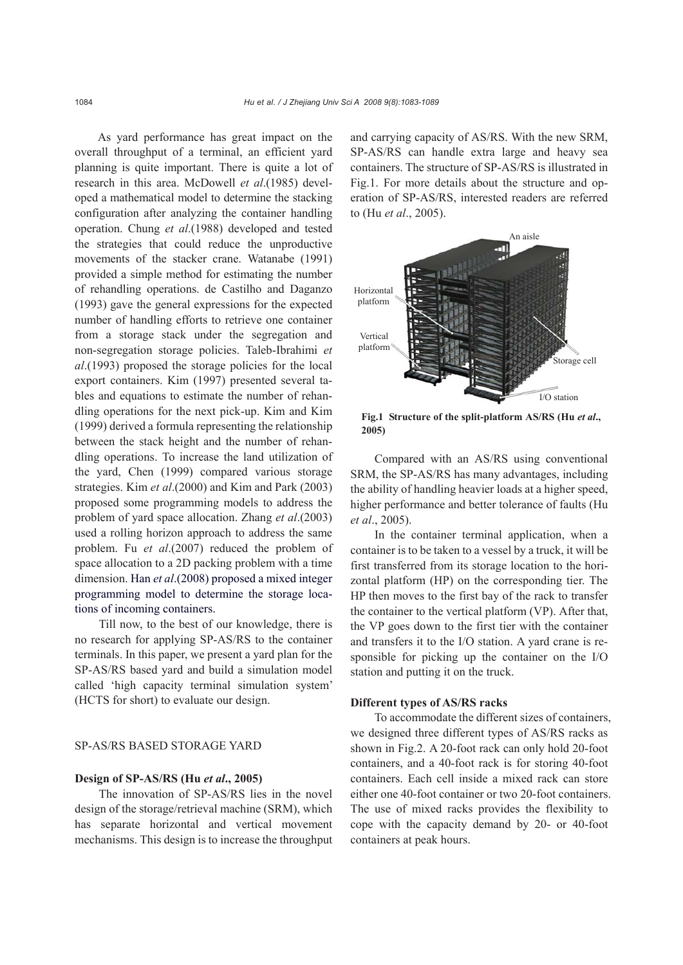As yard performance has great impact on the overall throughput of a terminal, an efficient yard planning is quite important. There is quite a lot of research in this area. McDowell *et al*.(1985) developed a mathematical model to determine the stacking configuration after analyzing the container handling operation. Chung *et al*.(1988) developed and tested the strategies that could reduce the unproductive movements of the stacker crane. Watanabe (1991) provided a simple method for estimating the number of rehandling operations. de Castilho and Daganzo (1993) gave the general expressions for the expected number of handling efforts to retrieve one container from a storage stack under the segregation and non-segregation storage policies. Taleb-Ibrahimi *et al*.(1993) proposed the storage policies for the local export containers. Kim (1997) presented several tables and equations to estimate the number of rehandling operations for the next pick-up. Kim and Kim (1999) derived a formula representing the relationship between the stack height and the number of rehandling operations. To increase the land utilization of the yard, Chen (1999) compared various storage strategies. Kim *et al*.(2000) and Kim and Park (2003) proposed some programming models to address the problem of yard space allocation. Zhang *et al*.(2003) used a rolling horizon approach to address the same problem. Fu *et al*.(2007) reduced the problem of space allocation to a 2D packing problem with a time dimension. Han *et al*.(2008) proposed a mixed integer programming model to determine the storage locations of incoming containers.

Till now, to the best of our knowledge, there is no research for applying SP-AS/RS to the container terminals. In this paper, we present a yard plan for the SP-AS/RS based yard and build a simulation model called 'high capacity terminal simulation system' (HCTS for short) to evaluate our design.

## SP-AS/RS BASED STORAGE YARD

## **Design of SP-AS/RS (Hu** *et al***., 2005)**

The innovation of SP-AS/RS lies in the novel design of the storage/retrieval machine (SRM), which has separate horizontal and vertical movement mechanisms. This design is to increase the throughput and carrying capacity of AS/RS. With the new SRM, SP-AS/RS can handle extra large and heavy sea containers. The structure of SP-AS/RS is illustrated in Fig.1. For more details about the structure and operation of SP-AS/RS, interested readers are referred to (Hu *et al*., 2005).



**Fig.1 Structure of the split-platform AS/RS (Hu** *et al***., 2005)**

Compared with an AS/RS using conventional SRM, the SP-AS/RS has many advantages, including the ability of handling heavier loads at a higher speed, higher performance and better tolerance of faults (Hu *et al*., 2005).

In the container terminal application, when a container is to be taken to a vessel by a truck, it will be first transferred from its storage location to the horizontal platform (HP) on the corresponding tier. The HP then moves to the first bay of the rack to transfer the container to the vertical platform (VP). After that, the VP goes down to the first tier with the container and transfers it to the I/O station. A yard crane is responsible for picking up the container on the I/O station and putting it on the truck.

#### **Different types of AS/RS racks**

To accommodate the different sizes of containers, we designed three different types of AS/RS racks as shown in Fig.2. A 20-foot rack can only hold 20-foot containers, and a 40-foot rack is for storing 40-foot containers. Each cell inside a mixed rack can store either one 40-foot container or two 20-foot containers. The use of mixed racks provides the flexibility to cope with the capacity demand by 20- or 40-foot containers at peak hours.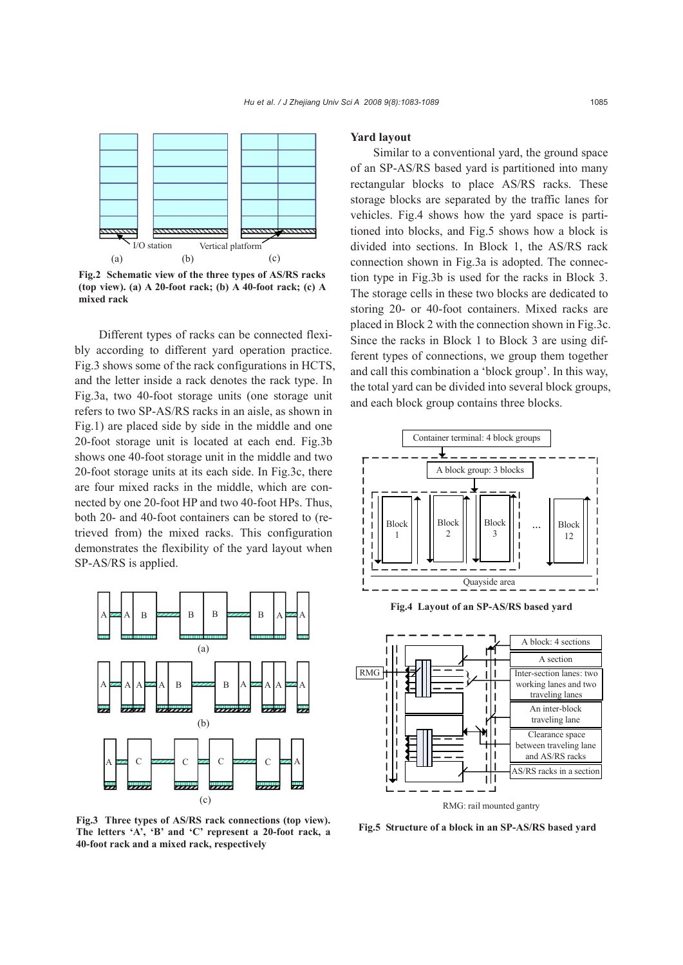

**Fig.2 Schematic view of the three types of AS/RS racks (top view). (a) A 20-foot rack; (b) A 40-foot rack; (c) A mixed rack**

Different types of racks can be connected flexibly according to different yard operation practice. Fig.3 shows some of the rack configurations in HCTS, and the letter inside a rack denotes the rack type. In Fig.3a, two 40-foot storage units (one storage unit refers to two SP-AS/RS racks in an aisle, as shown in Fig.1) are placed side by side in the middle and one 20-foot storage unit is located at each end. Fig.3b shows one 40-foot storage unit in the middle and two 20-foot storage units at its each side. In Fig.3c, there are four mixed racks in the middle, which are connected by one 20-foot HP and two 40-foot HPs. Thus, both 20- and 40-foot containers can be stored to (retrieved from) the mixed racks. This configuration demonstrates the flexibility of the yard layout when SP-AS/RS is applied.



**Fig.3 Three types of AS/RS rack connections (top view). The letters 'A', 'B' and 'C' represent a 20-foot rack, a 40-foot rack and a mixed rack, respectively**

#### **Yard layout**

Similar to a conventional yard, the ground space of an SP-AS/RS based yard is partitioned into many rectangular blocks to place AS/RS racks. These storage blocks are separated by the traffic lanes for vehicles. Fig.4 shows how the yard space is partitioned into blocks, and Fig.5 shows how a block is divided into sections. In Block 1, the AS/RS rack connection shown in Fig.3a is adopted. The connection type in Fig.3b is used for the racks in Block 3. The storage cells in these two blocks are dedicated to storing 20- or 40-foot containers. Mixed racks are placed in Block 2 with the connection shown in Fig.3c. Since the racks in Block 1 to Block 3 are using different types of connections, we group them together and call this combination a 'block group'. In this way, the total yard can be divided into several block groups, and each block group contains three blocks.



RMG: rail mounted gantry

**Fig.5 Structure of a block in an SP-AS/RS based yard**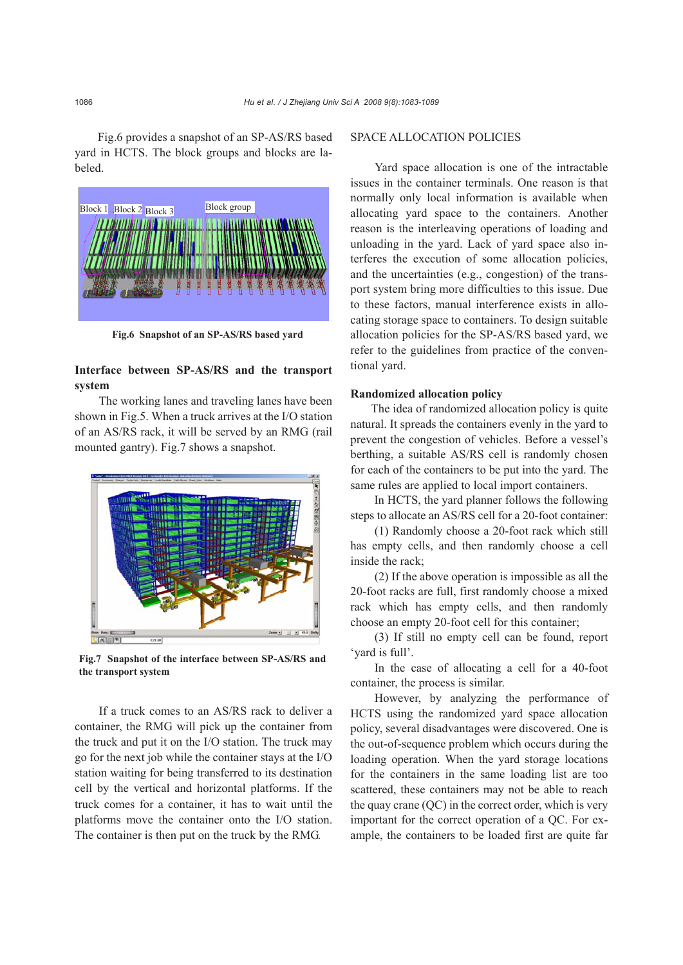Fig.6 provides a snapshot of an SP-AS/RS based yard in HCTS. The block groups and blocks are labeled.



**Fig.6 Snapshot of an SP-AS/RS based yard** 

# **Interface between SP-AS/RS and the transport system**

The working lanes and traveling lanes have been shown in Fig.5. When a truck arrives at the I/O station of an AS/RS rack, it will be served by an RMG (rail mounted gantry). Fig.7 shows a snapshot.



**Fig.7 Snapshot of the interface between SP-AS/RS and the transport system**

If a truck comes to an AS/RS rack to deliver a container, the RMG will pick up the container from the truck and put it on the I/O station. The truck may go for the next job while the container stays at the I/O station waiting for being transferred to its destination cell by the vertical and horizontal platforms. If the truck comes for a container, it has to wait until the platforms move the container onto the I/O station. The container is then put on the truck by the RMG.

## SPACE ALLOCATION POLICIES

Yard space allocation is one of the intractable issues in the container terminals. One reason is that normally only local information is available when allocating yard space to the containers. Another reason is the interleaving operations of loading and unloading in the yard. Lack of yard space also interferes the execution of some allocation policies, and the uncertainties (e.g., congestion) of the transport system bring more difficulties to this issue. Due to these factors, manual interference exists in allocating storage space to containers. To design suitable allocation policies for the SP-AS/RS based yard, we refer to the guidelines from practice of the conventional yard.

## **Randomized allocation policy**

The idea of randomized allocation policy is quite natural. It spreads the containers evenly in the yard to prevent the congestion of vehicles. Before a vessel's berthing, a suitable AS/RS cell is randomly chosen for each of the containers to be put into the yard. The same rules are applied to local import containers.

In HCTS, the yard planner follows the following steps to allocate an AS/RS cell for a 20-foot container:

(1) Randomly choose a 20-foot rack which still has empty cells, and then randomly choose a cell inside the rack;

(2) If the above operation is impossible as all the 20-foot racks are full, first randomly choose a mixed rack which has empty cells, and then randomly choose an empty 20-foot cell for this container;

(3) If still no empty cell can be found, report 'yard is full'.

In the case of allocating a cell for a 40-foot container, the process is similar.

However, by analyzing the performance of HCTS using the randomized yard space allocation policy, several disadvantages were discovered. One is the out-of-sequence problem which occurs during the loading operation. When the yard storage locations for the containers in the same loading list are too scattered, these containers may not be able to reach the quay crane (QC) in the correct order, which is very important for the correct operation of a QC. For example, the containers to be loaded first are quite far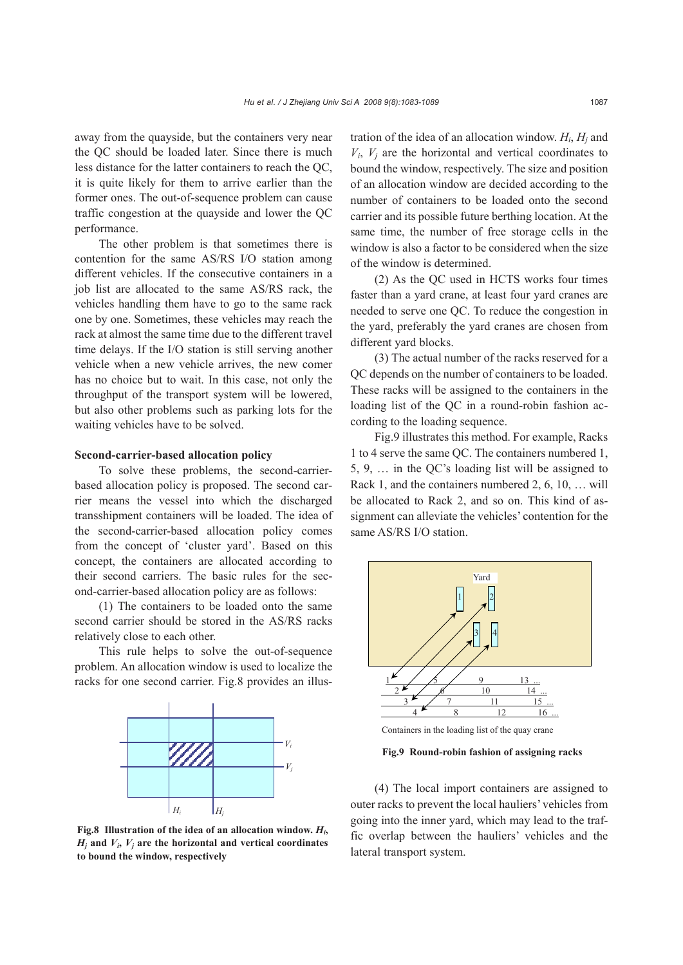away from the quayside, but the containers very near the QC should be loaded later. Since there is much less distance for the latter containers to reach the QC, it is quite likely for them to arrive earlier than the former ones. The out-of-sequence problem can cause traffic congestion at the quayside and lower the QC performance.

The other problem is that sometimes there is contention for the same AS/RS I/O station among different vehicles. If the consecutive containers in a job list are allocated to the same AS/RS rack, the vehicles handling them have to go to the same rack one by one. Sometimes, these vehicles may reach the rack at almost the same time due to the different travel time delays. If the I/O station is still serving another vehicle when a new vehicle arrives, the new comer has no choice but to wait. In this case, not only the throughput of the transport system will be lowered, but also other problems such as parking lots for the waiting vehicles have to be solved.

#### **Second-carrier-based allocation policy**

To solve these problems, the second-carrierbased allocation policy is proposed. The second carrier means the vessel into which the discharged transshipment containers will be loaded. The idea of the second-carrier-based allocation policy comes from the concept of 'cluster yard'. Based on this concept, the containers are allocated according to their second carriers. The basic rules for the second-carrier-based allocation policy are as follows:

(1) The containers to be loaded onto the same second carrier should be stored in the AS/RS racks relatively close to each other.

This rule helps to solve the out-of-sequence problem. An allocation window is used to localize the racks for one second carrier. Fig.8 provides an illus-



**Fig.8 Illustration of the idea of an allocation window.**  $H_i$ **,**  $H_i$  **and**  $V_i$ **,**  $V_i$  **are the horizontal and vertical coordinates to bound the window, respectively** 

tration of the idea of an allocation window.  $H_i$ ,  $H_j$  and  $V_i$ ,  $V_i$  are the horizontal and vertical coordinates to bound the window, respectively. The size and position of an allocation window are decided according to the number of containers to be loaded onto the second carrier and its possible future berthing location. At the same time, the number of free storage cells in the window is also a factor to be considered when the size of the window is determined.

(2) As the QC used in HCTS works four times faster than a yard crane, at least four yard cranes are needed to serve one QC. To reduce the congestion in the yard, preferably the yard cranes are chosen from different yard blocks.

(3) The actual number of the racks reserved for a QC depends on the number of containers to be loaded. These racks will be assigned to the containers in the loading list of the QC in a round-robin fashion according to the loading sequence.

Fig.9 illustrates this method. For example, Racks 1 to 4 serve the same QC. The containers numbered 1, 5, 9, … in the QC's loading list will be assigned to Rack 1, and the containers numbered 2, 6, 10, … will be allocated to Rack 2, and so on. This kind of assignment can alleviate the vehicles' contention for the same AS/RS I/O station.



Containers in the loading list of the quay crane

**Fig.9 Round-robin fashion of assigning racks**

(4) The local import containers are assigned to outer racks to prevent the local hauliers' vehicles from going into the inner yard, which may lead to the traffic overlap between the hauliers' vehicles and the lateral transport system.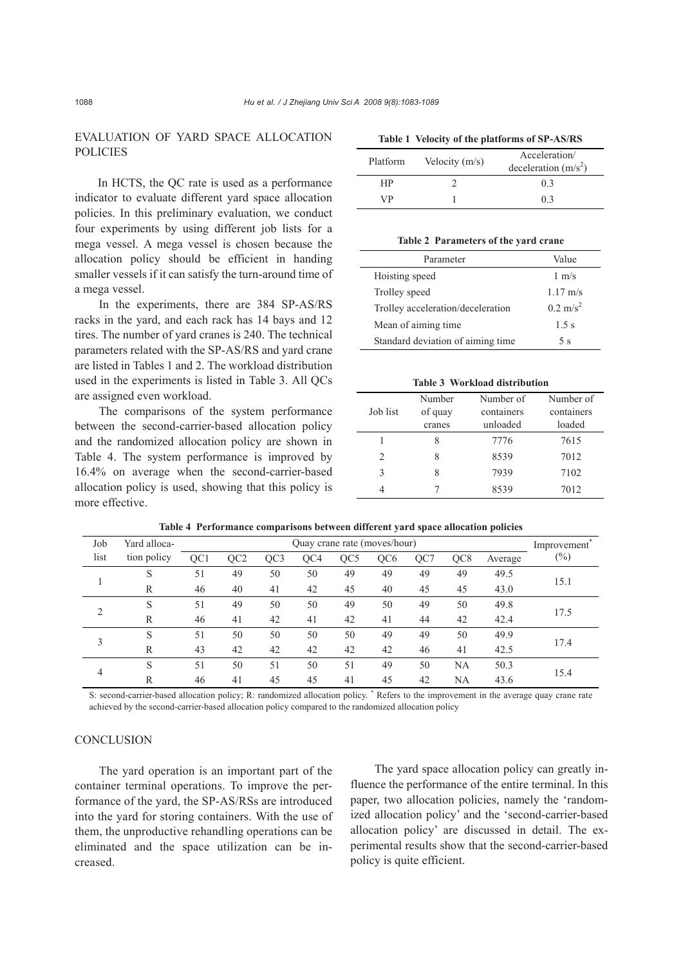# EVALUATION OF YARD SPACE ALLOCATION **POLICIES**

In HCTS, the QC rate is used as a performance indicator to evaluate different yard space allocation policies. In this preliminary evaluation, we conduct four experiments by using different job lists for a mega vessel. A mega vessel is chosen because the allocation policy should be efficient in handing smaller vessels if it can satisfy the turn-around time of a mega vessel.

In the experiments, there are 384 SP-AS/RS racks in the yard, and each rack has 14 bays and 12 tires. The number of yard cranes is 240. The technical parameters related with the SP-AS/RS and yard crane are listed in Tables 1 and 2. The workload distribution used in the experiments is listed in Table 3. All QCs are assigned even workload.

The comparisons of the system performance between the second-carrier-based allocation policy and the randomized allocation policy are shown in Table 4. The system performance is improved by 16.4% on average when the second-carrier-based allocation policy is used, showing that this policy is more effective.

|          |                  | THEN I TURNEY OF THE PHILOLING OF ST THIS IS |  |  |  |
|----------|------------------|----------------------------------------------|--|--|--|
|          |                  | Acceleration/                                |  |  |  |
| Platform | Velocity $(m/s)$ | deceleration $(m/s2)$                        |  |  |  |
| HP       |                  | 03                                           |  |  |  |
| VP       |                  | 03                                           |  |  |  |

**Table 1 Velocity of the platforms of SP-AS/RS**

**Table 2 Parameters of the yard crane** 

| Parameter                         | Value               |
|-----------------------------------|---------------------|
| Hoisting speed                    | $1 \text{ m/s}$     |
| Trolley speed                     | $1.17 \text{ m/s}$  |
| Trolley acceleration/deceleration | $0.2 \text{ m/s}^2$ |
| Mean of aiming time               | 1.5 s               |
| Standard deviation of aiming time | 5 s                 |

**Table 3 Workload distribution** 

|                       | Number  | Number of  | Number of  |
|-----------------------|---------|------------|------------|
| Job list              | of quay | containers | containers |
|                       | cranes  | unloaded   | loaded     |
|                       | 8       | 7776       | 7615       |
| $\mathcal{D}_{\cdot}$ | 8       | 8539       | 7012       |
| 3                     | 8       | 7939       | 7102       |
|                       |         | 8539       | 7012       |

| Job            | Yard alloca- | Quay crane rate (moves/hour) |                 |     |     |     | Improvement     |     |                 |         |        |
|----------------|--------------|------------------------------|-----------------|-----|-----|-----|-----------------|-----|-----------------|---------|--------|
| list           | tion policy  | OC <sub>1</sub>              | OC <sub>2</sub> | OC3 | OC4 | QC5 | OC <sub>6</sub> | QC7 | OC <sub>8</sub> | Average | $(\%)$ |
|                | S            | 51                           | 49              | 50  | 50  | 49  | 49              | 49  | 49              | 49.5    | 15.1   |
|                | R            | 46                           | 40              | 41  | 42  | 45  | 40              | 45  | 45              | 43.0    |        |
| $\overline{c}$ | S            | 51                           | 49              | 50  | 50  | 49  | 50              | 49  | 50              | 49.8    | 17.5   |
|                | R            | 46                           | 41              | 42  | 41  | 42  | 41              | 44  | 42              | 42.4    |        |
| 3              | S            | 51                           | 50              | 50  | 50  | 50  | 49              | 49  | 50              | 49.9    | 17.4   |
|                | R            | 43                           | 42              | 42  | 42  | 42  | 42              | 46  | 41              | 42.5    |        |
| 4              | S            | 51                           | 50              | 51  | 50  | 51  | 49              | 50  | NA              | 50.3    | 15.4   |
|                | R            | 46                           | 41              | 45  | 45  | 41  | 45              | 42  | NA              | 43.6    |        |

**Table 4 Performance comparisons between different yard space allocation policies**

S: second-carrier-based allocation policy; R: randomized allocation policy. \* Refers to the improvement in the average quay crane rate achieved by the second-carrier-based allocation policy compared to the randomized allocation policy

## **CONCLUSION**

The yard operation is an important part of the container terminal operations. To improve the performance of the yard, the SP-AS/RSs are introduced into the yard for storing containers. With the use of them, the unproductive rehandling operations can be eliminated and the space utilization can be increased.

The yard space allocation policy can greatly influence the performance of the entire terminal. In this paper, two allocation policies, namely the 'randomized allocation policy' and the 'second-carrier-based allocation policy' are discussed in detail. The experimental results show that the second-carrier-based policy is quite efficient.